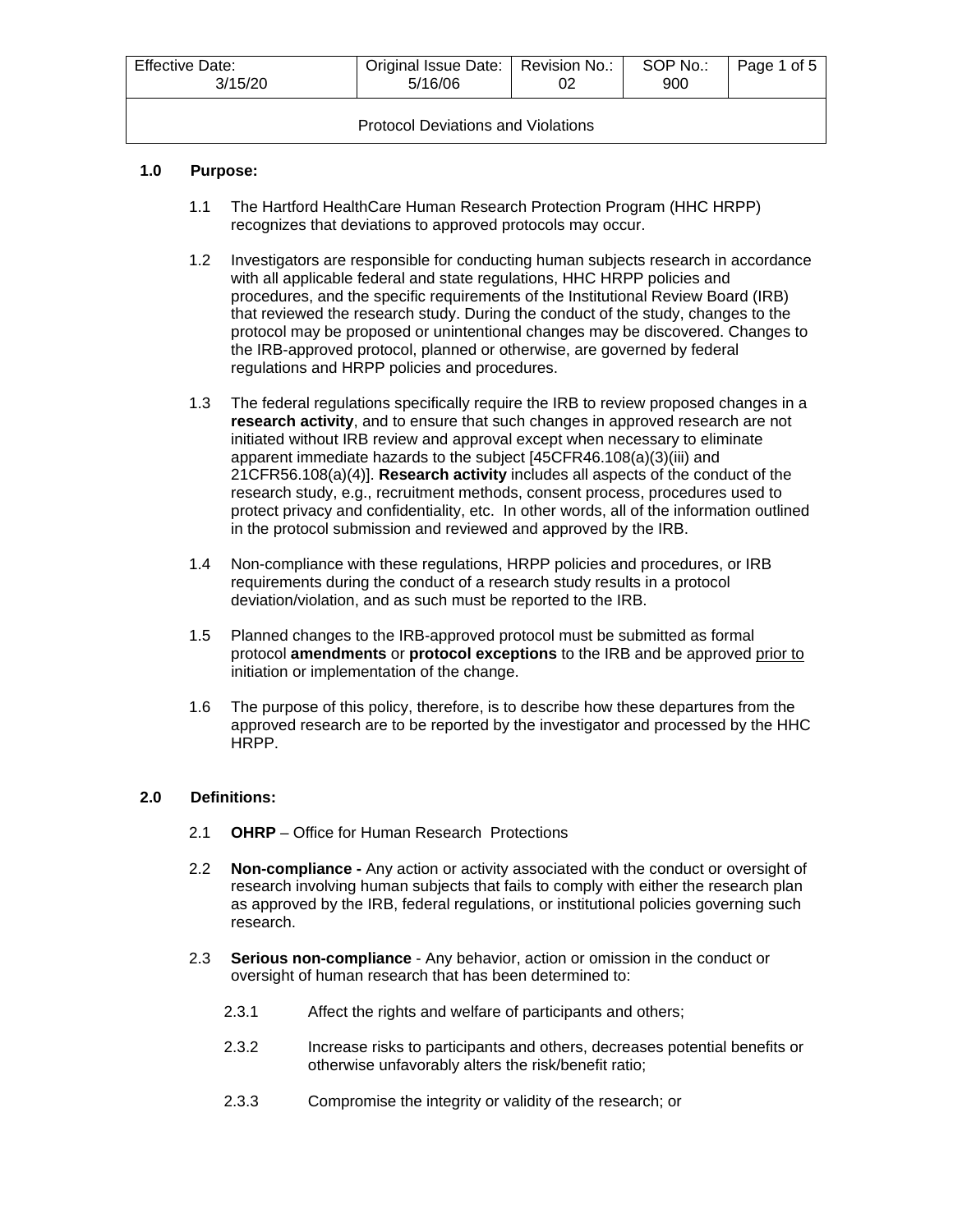| <b>Effective Date:</b><br>3/15/20         | Original Issue Date:   Revision No.:<br>5/16/06 |  | SOP No.:<br>900 | Page 1 of 5 |  |
|-------------------------------------------|-------------------------------------------------|--|-----------------|-------------|--|
| <b>Protocol Deviations and Violations</b> |                                                 |  |                 |             |  |

## **1.0 Purpose:**

- 1.1 The Hartford HealthCare Human Research Protection Program (HHC HRPP) recognizes that deviations to approved protocols may occur.
- 1.2 Investigators are responsible for conducting human subjects research in accordance with all applicable federal and state regulations, HHC HRPP policies and procedures, and the specific requirements of the Institutional Review Board (IRB) that reviewed the research study. During the conduct of the study, changes to the protocol may be proposed or unintentional changes may be discovered. Changes to the IRB-approved protocol, planned or otherwise, are governed by federal regulations and HRPP policies and procedures.
- 1.3 The federal regulations specifically require the IRB to review proposed changes in a **research activity**, and to ensure that such changes in approved research are not initiated without IRB review and approval except when necessary to eliminate apparent immediate hazards to the subject [45CFR46.108(a)(3)(iii) and 21CFR56.108(a)(4)]. **Research activity** includes all aspects of the conduct of the research study, e.g., recruitment methods, consent process, procedures used to protect privacy and confidentiality, etc. In other words, all of the information outlined in the protocol submission and reviewed and approved by the IRB.
- 1.4 Non-compliance with these regulations, HRPP policies and procedures, or IRB requirements during the conduct of a research study results in a protocol deviation/violation, and as such must be reported to the IRB.
- 1.5 Planned changes to the IRB-approved protocol must be submitted as formal protocol **amendments** or **protocol exceptions** to the IRB and be approved prior to initiation or implementation of the change.
- 1.6 The purpose of this policy, therefore, is to describe how these departures from the approved research are to be reported by the investigator and processed by the HHC HRPP.

#### **2.0 Definitions:**

- 2.1 **OHRP** Office for Human Research Protections
- 2.2 **Non-compliance -** Any action or activity associated with the conduct or oversight of research involving human subjects that fails to comply with either the research plan as approved by the IRB, federal regulations, or institutional policies governing such research.
- 2.3 **Serious non-compliance** Any behavior, action or omission in the conduct or oversight of human research that has been determined to:
	- 2.3.1 Affect the rights and welfare of participants and others;
	- 2.3.2 Increase risks to participants and others, decreases potential benefits or otherwise unfavorably alters the risk/benefit ratio;
	- 2.3.3 Compromise the integrity or validity of the research; or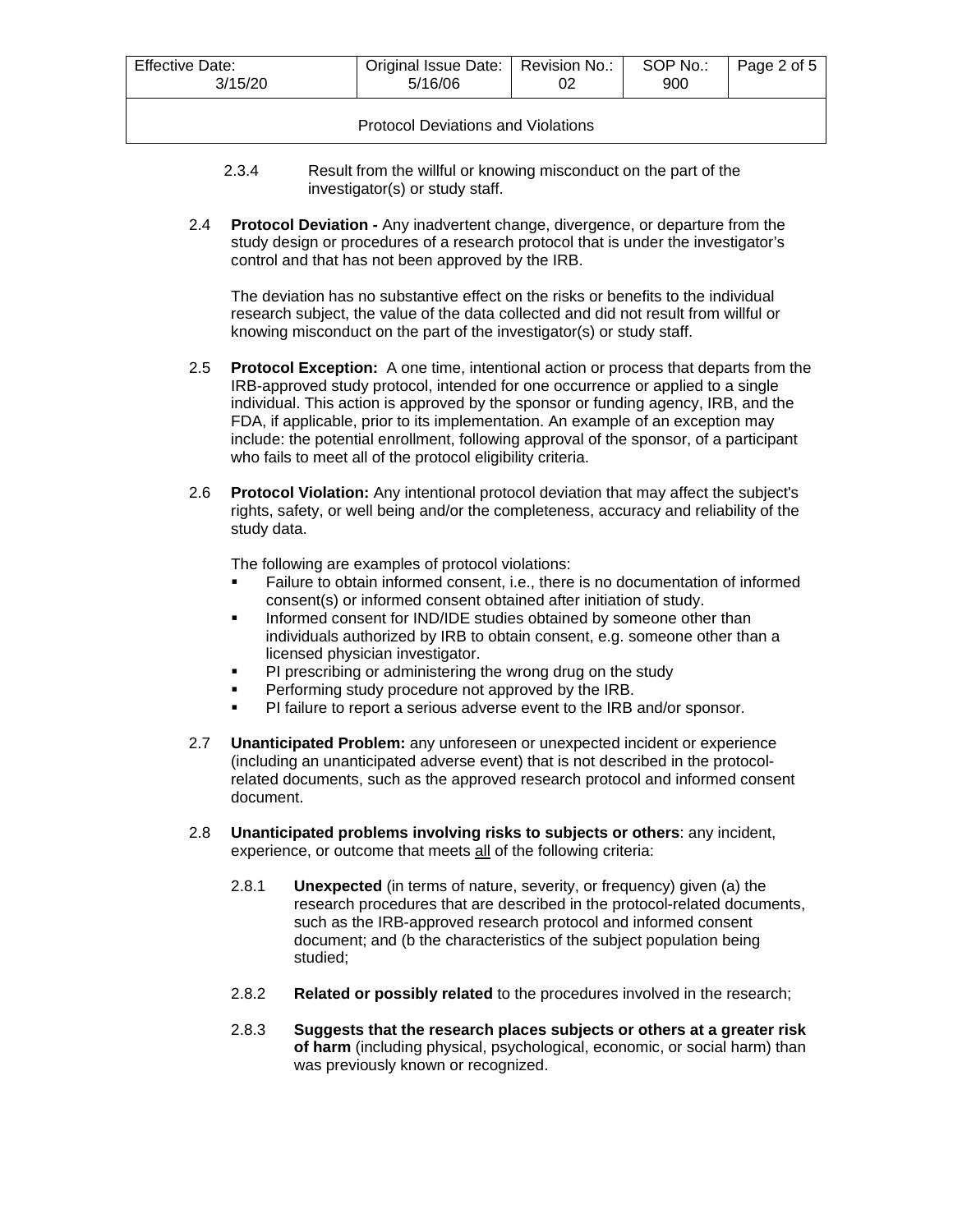| Effective Date:<br>3/15/20                | Original Issue Date:   Revision No.:<br>5/16/06 |  | SOP No.:<br>900 | Page 2 of 5 |  |
|-------------------------------------------|-------------------------------------------------|--|-----------------|-------------|--|
| <b>Protocol Deviations and Violations</b> |                                                 |  |                 |             |  |

- 2.3.4 Result from the willful or knowing misconduct on the part of the investigator(s) or study staff.
- 2.4 **Protocol Deviation -** Any inadvertent change, divergence, or departure from the study design or procedures of a research protocol that is under the investigator's control and that has not been approved by the IRB.

The deviation has no substantive effect on the risks or benefits to the individual research subject, the value of the data collected and did not result from willful or knowing misconduct on the part of the investigator(s) or study staff.

- 2.5 **Protocol Exception:** A one time, intentional action or process that departs from the IRB-approved study protocol, intended for one occurrence or applied to a single individual. This action is approved by the sponsor or funding agency, IRB, and the FDA, if applicable, prior to its implementation. An example of an exception may include: the potential enrollment, following approval of the sponsor, of a participant who fails to meet all of the protocol eligibility criteria.
- 2.6 **Protocol Violation:** Any intentional protocol deviation that may affect the subject's rights, safety, or well being and/or the completeness, accuracy and reliability of the study data.

The following are examples of protocol violations:

- Failure to obtain informed consent, i.e., there is no documentation of informed consent(s) or informed consent obtained after initiation of study.
- **Informed consent for IND/IDE studies obtained by someone other than** individuals authorized by IRB to obtain consent, e.g. someone other than a licensed physician investigator.
- **PI prescribing or administering the wrong drug on the study**
- Performing study procedure not approved by the IRB.
- PI failure to report a serious adverse event to the IRB and/or sponsor.
- 2.7 **Unanticipated Problem:** any unforeseen or unexpected incident or experience (including an unanticipated adverse event) that is not described in the protocolrelated documents, such as the approved research protocol and informed consent document.
- 2.8 **Unanticipated problems involving risks to subjects or others**: any incident, experience, or outcome that meets all of the following criteria:
	- 2.8.1 **Unexpected** (in terms of nature, severity, or frequency) given (a) the research procedures that are described in the protocol-related documents, such as the IRB-approved research protocol and informed consent document; and (b the characteristics of the subject population being studied;
	- 2.8.2 **Related or possibly related** to the procedures involved in the research;
	- 2.8.3 **Suggests that the research places subjects or others at a greater risk of harm** (including physical, psychological, economic, or social harm) than was previously known or recognized.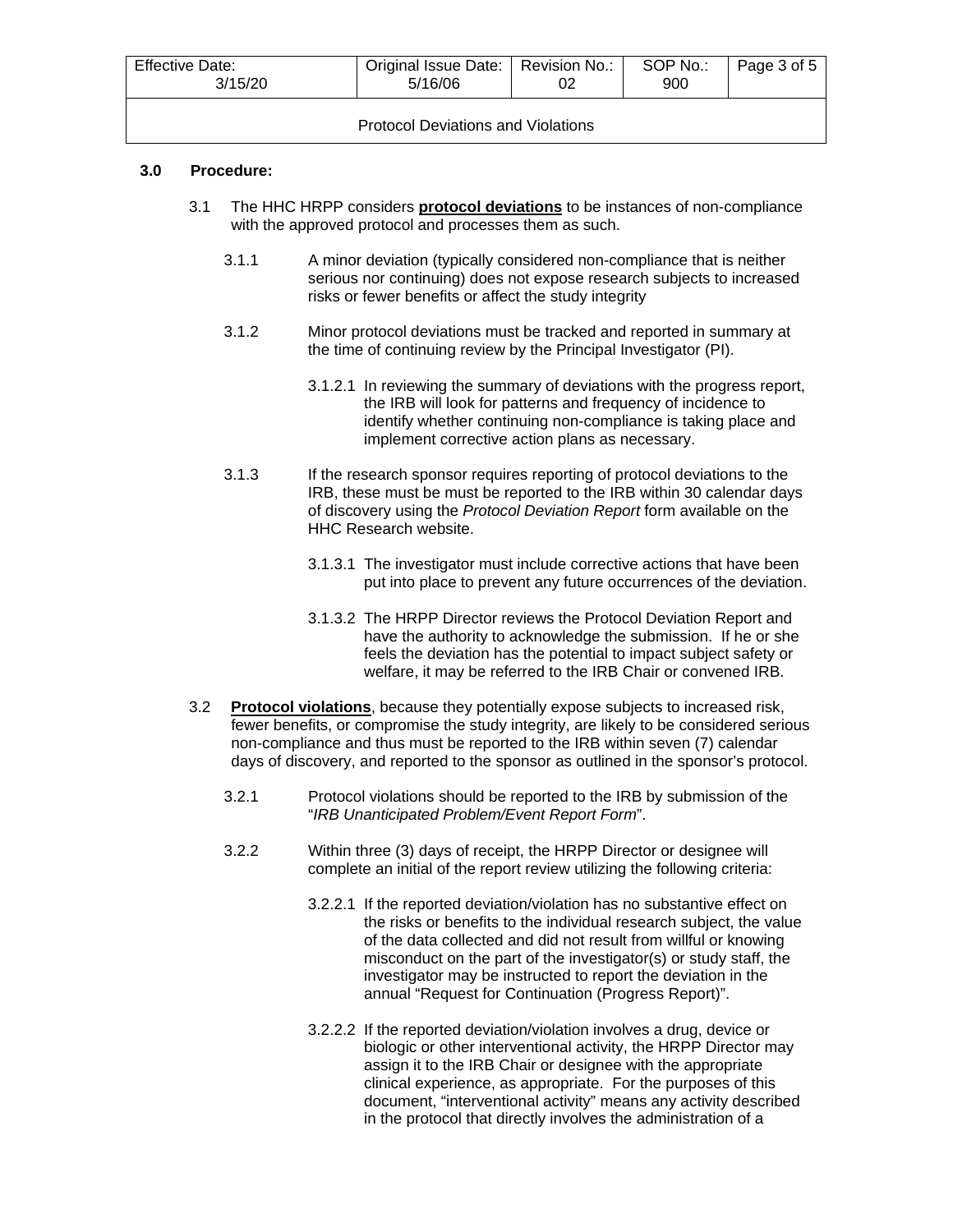| <b>Effective Date:</b><br>3/15/20         | Original Issue Date:   Revision No.:<br>5/16/06 |  | SOP No.:<br>900 | Page 3 of 5 |  |
|-------------------------------------------|-------------------------------------------------|--|-----------------|-------------|--|
| <b>Protocol Deviations and Violations</b> |                                                 |  |                 |             |  |

#### **3.0 Procedure:**

- 3.1 The HHC HRPP considers **protocol deviations** to be instances of non-compliance with the approved protocol and processes them as such.
	- 3.1.1 A minor deviation (typically considered non-compliance that is neither serious nor continuing) does not expose research subjects to increased risks or fewer benefits or affect the study integrity
	- 3.1.2 Minor protocol deviations must be tracked and reported in summary at the time of continuing review by the Principal Investigator (PI).
		- 3.1.2.1 In reviewing the summary of deviations with the progress report, the IRB will look for patterns and frequency of incidence to identify whether continuing non-compliance is taking place and implement corrective action plans as necessary.
	- 3.1.3 If the research sponsor requires reporting of protocol deviations to the IRB, these must be must be reported to the IRB within 30 calendar days of discovery using the *Protocol Deviation Report* form available on the HHC Research website.
		- 3.1.3.1 The investigator must include corrective actions that have been put into place to prevent any future occurrences of the deviation.
		- 3.1.3.2 The HRPP Director reviews the Protocol Deviation Report and have the authority to acknowledge the submission. If he or she feels the deviation has the potential to impact subject safety or welfare, it may be referred to the IRB Chair or convened IRB.
- 3.2 **Protocol violations**, because they potentially expose subjects to increased risk, fewer benefits, or compromise the study integrity, are likely to be considered serious non-compliance and thus must be reported to the IRB within seven (7) calendar days of discovery, and reported to the sponsor as outlined in the sponsor's protocol.
	- 3.2.1 Protocol violations should be reported to the IRB by submission of the "*IRB Unanticipated Problem/Event Report Form*".
	- 3.2.2 Within three (3) days of receipt, the HRPP Director or designee will complete an initial of the report review utilizing the following criteria:
		- 3.2.2.1 If the reported deviation/violation has no substantive effect on the risks or benefits to the individual research subject, the value of the data collected and did not result from willful or knowing misconduct on the part of the investigator(s) or study staff, the investigator may be instructed to report the deviation in the annual "Request for Continuation (Progress Report)".
		- 3.2.2.2 If the reported deviation/violation involves a drug, device or biologic or other interventional activity, the HRPP Director may assign it to the IRB Chair or designee with the appropriate clinical experience, as appropriate. For the purposes of this document, "interventional activity" means any activity described in the protocol that directly involves the administration of a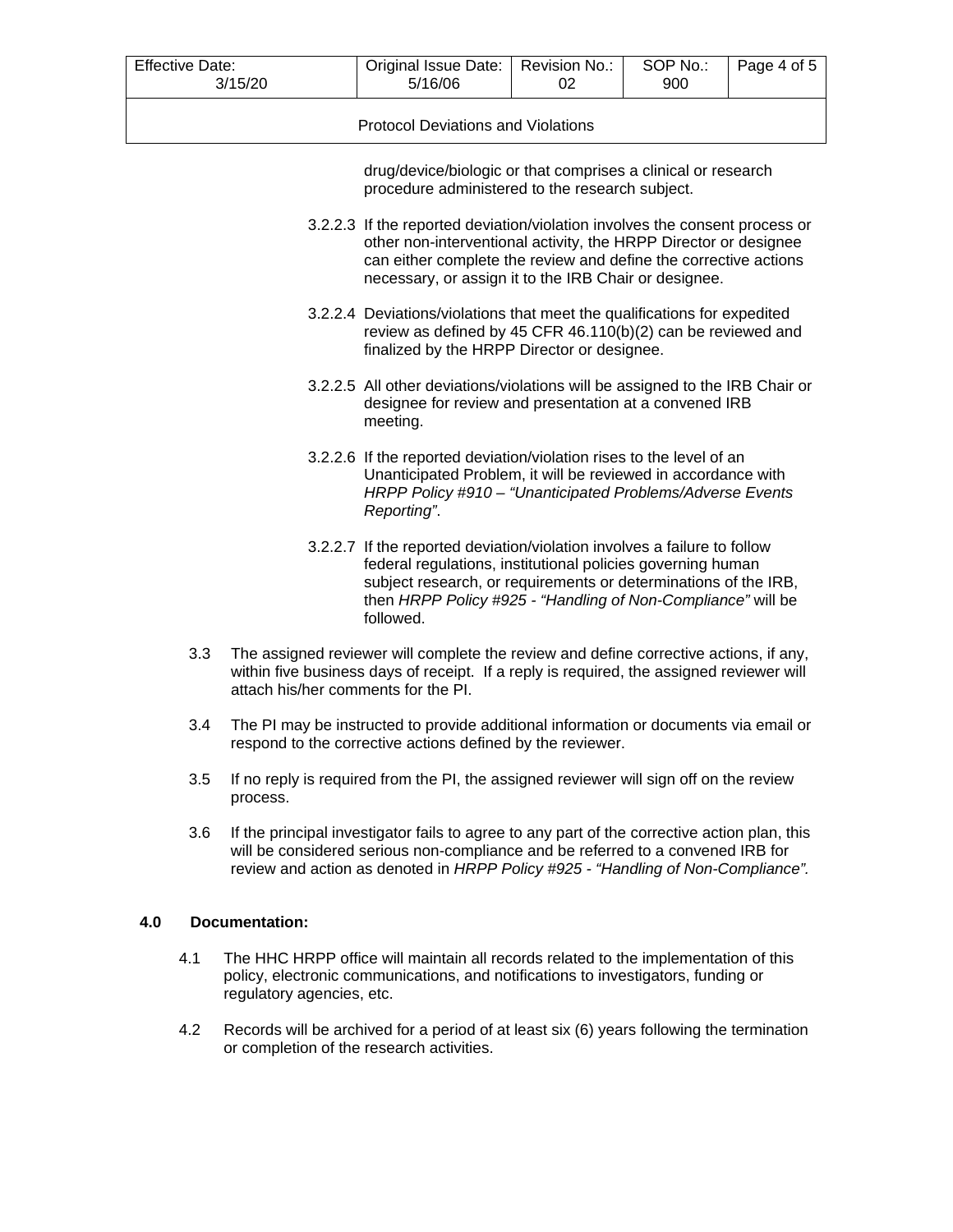| <b>Effective Date:</b><br>3/15/20         | Original Issue Date:   Revision No.:  <br>5/16/06 |  | SOP No.:<br>900 | Page 4 of 5 |  |
|-------------------------------------------|---------------------------------------------------|--|-----------------|-------------|--|
| <b>Protocol Deviations and Violations</b> |                                                   |  |                 |             |  |

drug/device/biologic or that comprises a clinical or research procedure administered to the research subject.

- 3.2.2.3 If the reported deviation/violation involves the consent process or other non-interventional activity, the HRPP Director or designee can either complete the review and define the corrective actions necessary, or assign it to the IRB Chair or designee.
- 3.2.2.4 Deviations/violations that meet the qualifications for expedited review as defined by 45 CFR 46.110(b)(2) can be reviewed and finalized by the HRPP Director or designee.
- 3.2.2.5 All other deviations/violations will be assigned to the IRB Chair or designee for review and presentation at a convened IRB meeting.
- 3.2.2.6 If the reported deviation/violation rises to the level of an Unanticipated Problem, it will be reviewed in accordance with *HRPP Policy #910 – "Unanticipated Problems/Adverse Events Reporting"*.
- 3.2.2.7 If the reported deviation/violation involves a failure to follow federal regulations, institutional policies governing human subject research, or requirements or determinations of the IRB, then *HRPP Policy #925 - "Handling of Non-Compliance"* will be followed.
- 3.3 The assigned reviewer will complete the review and define corrective actions, if any, within five business days of receipt. If a reply is required, the assigned reviewer will attach his/her comments for the PI.
- 3.4 The PI may be instructed to provide additional information or documents via email or respond to the corrective actions defined by the reviewer.
- 3.5 If no reply is required from the PI, the assigned reviewer will sign off on the review process.
- 3.6 If the principal investigator fails to agree to any part of the corrective action plan, this will be considered serious non-compliance and be referred to a convened IRB for review and action as denoted in *HRPP Policy #925 - "Handling of Non-Compliance".*

## **4.0 Documentation:**

- 4.1 The HHC HRPP office will maintain all records related to the implementation of this policy, electronic communications, and notifications to investigators, funding or regulatory agencies, etc.
- 4.2 Records will be archived for a period of at least six (6) years following the termination or completion of the research activities.